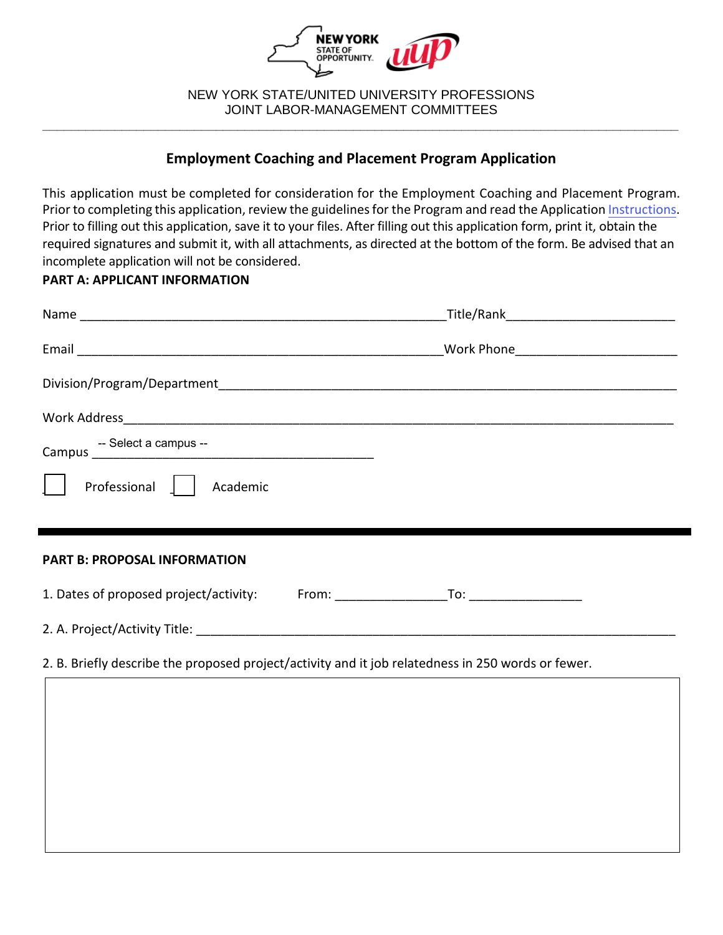

 NEW YORK STATE/UNITED UNIVERSITY PROFESSIONS JOINT LABOR-MANAGEMENT COMMITTEES **\_\_\_\_\_\_\_\_\_\_\_\_\_\_\_\_\_\_\_\_\_\_\_\_\_\_\_\_\_\_\_\_\_\_\_\_\_\_\_\_\_\_\_\_\_\_\_\_\_\_\_\_\_\_\_\_\_\_\_\_\_\_\_\_\_\_\_\_\_\_\_\_\_\_\_\_\_\_\_\_\_\_\_\_\_\_\_\_**

# **Employment Coaching and Placement Program Application**

 This application must be completed for consideration for the Employment Coaching and Placement Program. Prior to completing this application, review the guidelines for the Program and read the Application [Instructions.](https://oer.ny.gov/instructions-completing-fillable-pdf-application) Prior to filling out this application, save it to your files. After filling out this application form, print it, obtain the required signatures and submit it, with all attachments, as directed at the bottom of the form. Be advised that an incomplete application will not be considered.

#### **PART A: APPLICANT INFORMATION**

|                                        | Work Phone _______________________________ |
|----------------------------------------|--------------------------------------------|
|                                        |                                            |
|                                        |                                            |
|                                        |                                            |
| Professional<br>Academic               |                                            |
|                                        |                                            |
| <b>PART B: PROPOSAL INFORMATION</b>    |                                            |
| 1. Dates of proposed project/activity: |                                            |
|                                        |                                            |
|                                        |                                            |

# 2. B. Briefly describe the proposed project/activity and it job relatedness in 250 words or fewer.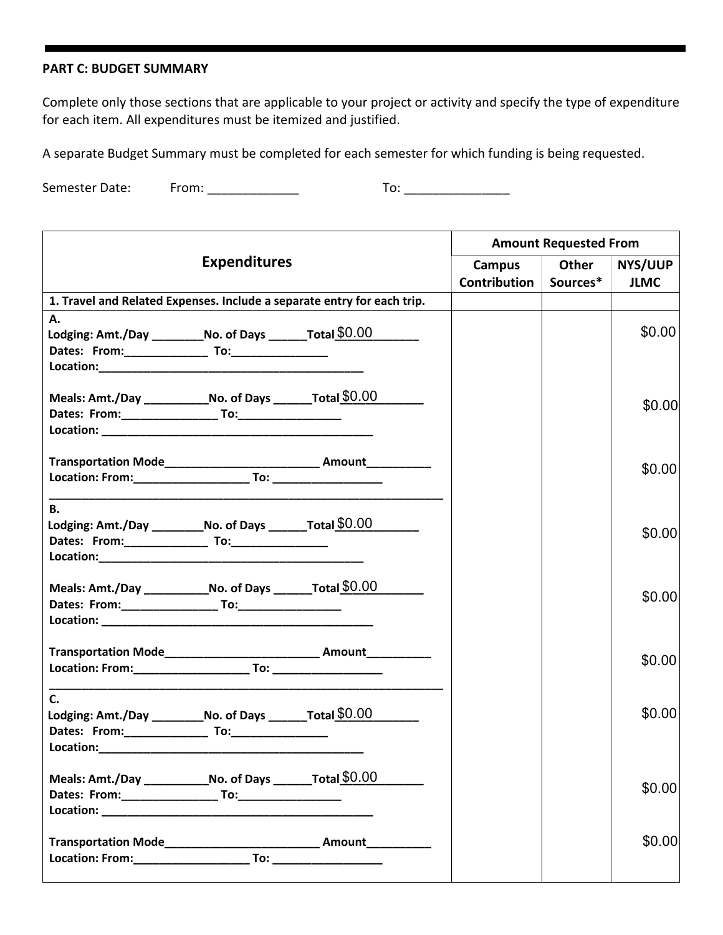#### **PART C: BUDGET SUMMARY**

 Complete only those sections that are applicable to your project or activity and specify the type of expenditure for each item. All expenditures must be itemized and justified.

A separate Budget Summary must be completed for each semester for which funding is being requested.

Semester Date: Semester Date: From: \_\_\_\_\_\_\_\_\_\_\_\_\_ To: \_\_\_\_\_\_\_\_\_\_\_\_\_\_\_

|                                                                         |                     |                                                                      |              | <b>Amount Requested From</b> |                |  |
|-------------------------------------------------------------------------|---------------------|----------------------------------------------------------------------|--------------|------------------------------|----------------|--|
|                                                                         | <b>Expenditures</b> |                                                                      | Campus       | Other                        | <b>NYS/UUP</b> |  |
|                                                                         |                     |                                                                      | Contribution | Sources*                     | <b>JLMC</b>    |  |
| 1. Travel and Related Expenses. Include a separate entry for each trip. |                     |                                                                      |              |                              |                |  |
| Α.                                                                      |                     |                                                                      |              |                              |                |  |
| Lodging: Amt./Day ____________No. of Days _________ Total \$0.00        |                     |                                                                      |              |                              | \$0.00         |  |
|                                                                         |                     |                                                                      |              |                              |                |  |
|                                                                         |                     |                                                                      |              |                              |                |  |
| Meals: Amt./Day _______________No. of Days _________Total \$0.00        |                     |                                                                      |              |                              |                |  |
|                                                                         |                     |                                                                      |              |                              | \$0.00         |  |
|                                                                         |                     |                                                                      |              |                              |                |  |
|                                                                         |                     |                                                                      |              |                              |                |  |
|                                                                         |                     | Transportation Mode_____________________________ Amount___________   |              |                              |                |  |
|                                                                         |                     |                                                                      |              |                              | \$0.00         |  |
|                                                                         |                     |                                                                      |              |                              |                |  |
| <b>B.</b>                                                               |                     |                                                                      |              |                              |                |  |
| Lodging: Amt./Day ___________No. of Days ________Total \$0.00           |                     |                                                                      |              |                              | \$0.00         |  |
|                                                                         |                     |                                                                      |              |                              |                |  |
|                                                                         |                     |                                                                      |              |                              |                |  |
| Meals: Amt./Day ________________No. of Days __________Total $$0.00$     |                     |                                                                      |              |                              |                |  |
|                                                                         |                     |                                                                      |              |                              | \$0.00         |  |
|                                                                         |                     |                                                                      |              |                              |                |  |
|                                                                         |                     |                                                                      |              |                              |                |  |
|                                                                         |                     | Transportation Mode______________________________ Amount____________ |              |                              |                |  |
|                                                                         |                     |                                                                      |              |                              | \$0.00         |  |
|                                                                         |                     |                                                                      |              |                              |                |  |
| $C_{\cdot}$                                                             |                     |                                                                      |              |                              | \$0.00         |  |
| Lodging: Amt./Day ____________No. of Days ________Total \$0.00          |                     |                                                                      |              |                              |                |  |
|                                                                         |                     |                                                                      |              |                              |                |  |
| Location: Location:                                                     |                     |                                                                      |              |                              |                |  |
| Meals: Amt./Day ________________No. of Days __________Total $$0.00$     |                     |                                                                      |              |                              |                |  |
|                                                                         |                     |                                                                      |              |                              | \$0.00         |  |
|                                                                         |                     |                                                                      |              |                              |                |  |
|                                                                         |                     |                                                                      |              |                              |                |  |
|                                                                         |                     |                                                                      |              |                              | \$0.00         |  |
|                                                                         |                     |                                                                      |              |                              |                |  |
|                                                                         |                     |                                                                      |              |                              |                |  |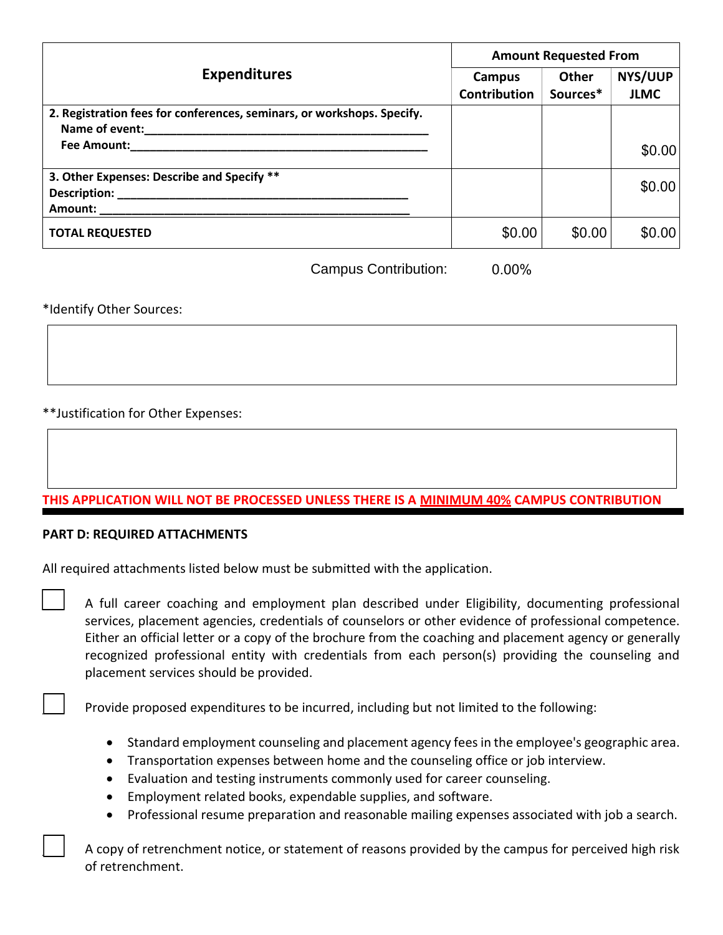| <b>Expenditures</b>                                                                      | <b>Amount Requested From</b> |                   |                               |
|------------------------------------------------------------------------------------------|------------------------------|-------------------|-------------------------------|
|                                                                                          | Campus<br>Contribution       | Other<br>Sources* | <b>NYS/UUP</b><br><b>JLMC</b> |
| 2. Registration fees for conferences, seminars, or workshops. Specify.<br>Name of event: |                              |                   |                               |
| Fee Amount:                                                                              |                              |                   | \$0.00                        |
| 3. Other Expenses: Describe and Specify **<br>Description:<br>Amount:                    |                              |                   | \$0.00                        |
| <b>TOTAL REQUESTED</b>                                                                   | \$0.00                       | \$0.00            | \$0.00                        |

Campus Contribution: 0.00%

### \*Identify Other Sources:

## \*\*Justification for Other Expenses:

### **THIS APPLICATION WILL NOT BE PROCESSED UNLESS THERE IS A MINIMUM 40% CAMPUS CONTRIBUTION**

#### **PART D: REQUIRED ATTACHMENTS**

 $\Box$ 

| All required attachments listed below must be submitted with the application. |  |
|-------------------------------------------------------------------------------|--|
|-------------------------------------------------------------------------------|--|

| A full career coaching and employment plan described under Eligibility, documenting professional        |
|---------------------------------------------------------------------------------------------------------|
| services, placement agencies, credentials of counselors or other evidence of professional competence.   |
| Either an official letter or a copy of the brochure from the coaching and placement agency or generally |
| recognized professional entity with credentials from each person(s) providing the counseling and        |
| placement services should be provided.                                                                  |

Provide proposed expenditures to be incurred, including but not limited to the following:

- Standard employment counseling and placement agency fees in the employee's geographic area.
- Transportation expenses between home and the counseling office or job interview.
- Evaluation and testing instruments commonly used for career counseling.
- Employment related books, expendable supplies, and software.
- Professional resume preparation and reasonable mailing expenses associated with job a search.

 \_\_\_ A copy of retrenchment notice, or statement of reasons provided by the campus for perceived high risk of retrenchment.